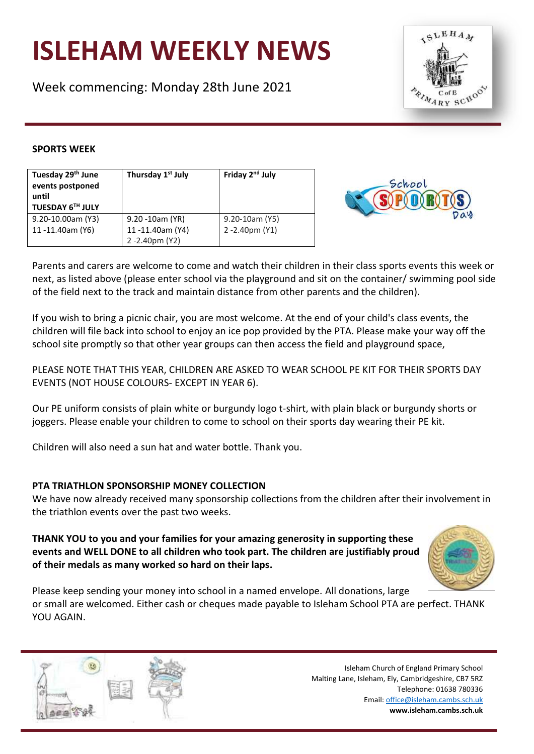# **ISLEHAM WEEKLY NEWS**

Week commencing: Monday 28th June 2021



## **SPORTS WEEK**

| Tuesday 29 <sup>th</sup> June | Thursday 1 <sup>st</sup> July | Friday 2 <sup>nd</sup> July |
|-------------------------------|-------------------------------|-----------------------------|
| events postponed              |                               |                             |
| until                         |                               |                             |
| TUESDAY 6TH JULY              |                               |                             |
| 9.20-10.00am (Y3)             | 9.20 -10am (YR)               | 9.20-10am (Y5)              |
| 11-11.40am (Y6)               | 11-11.40am (Y4)               | 2 -2.40pm (Y1)              |
|                               | 2-2.40pm (Y2)                 |                             |



Parents and carers are welcome to come and watch their children in their class sports events this week or next, as listed above (please enter school via the playground and sit on the container/ swimming pool side of the field next to the track and maintain distance from other parents and the children).

If you wish to bring a picnic chair, you are most welcome. At the end of your child's class events, the children will file back into school to enjoy an ice pop provided by the PTA. Please make your way off the school site promptly so that other year groups can then access the field and playground space,

PLEASE NOTE THAT THIS YEAR, CHILDREN ARE ASKED TO WEAR SCHOOL PE KIT FOR THEIR SPORTS DAY EVENTS (NOT HOUSE COLOURS- EXCEPT IN YEAR 6).

Our PE uniform consists of plain white or burgundy logo t-shirt, with plain black or burgundy shorts or joggers. Please enable your children to come to school on their sports day wearing their PE kit.

Children will also need a sun hat and water bottle. Thank you.

# **PTA TRIATHLON SPONSORSHIP MONEY COLLECTION**

We have now already received many sponsorship collections from the children after their involvement in the triathlon events over the past two weeks.

**THANK YOU to you and your families for your amazing generosity in supporting these events and WELL DONE to all children who took part. The children are justifiably proud of their medals as many worked so hard on their laps.** 



Please keep sending your money into school in a named envelope. All donations, large or small are welcomed. Either cash or cheques made payable to Isleham School PTA are perfect. THANK YOU AGAIN.

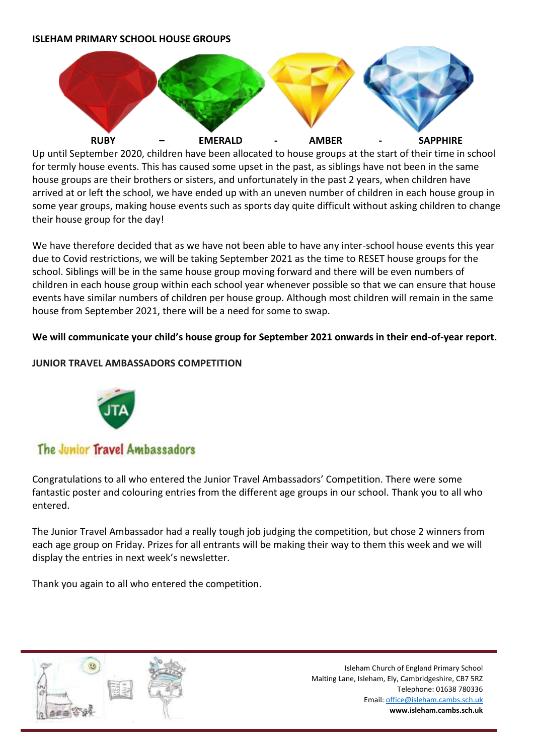### **ISLEHAM PRIMARY SCHOOL HOUSE GROUPS**



Up until September 2020, children have been allocated to house groups at the start of their time in school for termly house events. This has caused some upset in the past, as siblings have not been in the same house groups are their brothers or sisters, and unfortunately in the past 2 years, when children have arrived at or left the school, we have ended up with an uneven number of children in each house group in some year groups, making house events such as sports day quite difficult without asking children to change their house group for the day!

We have therefore decided that as we have not been able to have any inter-school house events this year due to Covid restrictions, we will be taking September 2021 as the time to RESET house groups for the school. Siblings will be in the same house group moving forward and there will be even numbers of children in each house group within each school year whenever possible so that we can ensure that house events have similar numbers of children per house group. Although most children will remain in the same house from September 2021, there will be a need for some to swap.

## **We will communicate your child's house group for September 2021 onwards in their end-of-year report.**

## **JUNIOR TRAVEL AMBASSADORS COMPETITION**



# The Junior Travel Ambassadors

Congratulations to all who entered the Junior Travel Ambassadors' Competition. There were some fantastic poster and colouring entries from the different age groups in our school. Thank you to all who entered.

The Junior Travel Ambassador had a really tough job judging the competition, but chose 2 winners from each age group on Friday. Prizes for all entrants will be making their way to them this week and we will display the entries in next week's newsletter.

Thank you again to all who entered the competition.

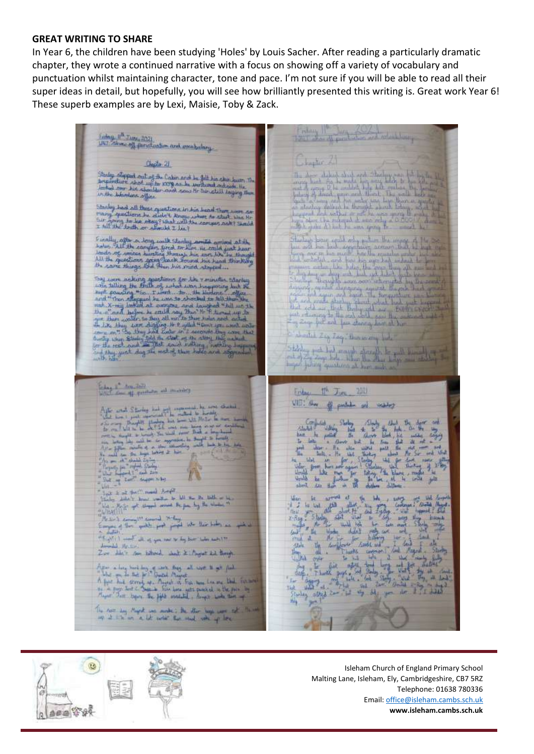#### **GREAT WRITING TO SHARE**

In Year 6, the children have been studying 'Holes' by Louis Sacher. After reading a particularly dramatic chapter, they wrote a continued narrative with a focus on showing off a variety of vocabulary and punctuation whilst maintaining character, tone and pace. I'm not sure if you will be able to read all their super ideas in detail, but hopefully, you will see how brilliantly presented this writing is. Great work Year 6! These superb examples are by Lexi, Maisie, Toby & Zack.

Index 11<sup>8</sup> Jure 2021<br>UNI Abre of functuation and meabolery Hapter L. Checks 21 Starley Slepped out of the Cabo and be felt his ship burn. The<br>Internative shot up to 1978 as be workind outside the<br>Jacked over the stimular and soun Mr So still injing them<br>Unthe Johnstons office Stanley back all these operations in his band There were as<br>many specifiers be about know where to start was the<br>fait going to be other? What will the compos ask? Starta  $\begin{minipage}{0.9\textwidth} \begin{tabular}{|c|c|c|c|c|} \hline & $100$ & $100$ & $100$ & $100$ & $100$ & $100$ & $100$ & $100$ & $100$ & $100$ & $100$ & $100$ & $100$ & $100$ & $100$ & $100$ & $100$ & $100$ & $100$ & $100$ & $100$ & $100$ & $100$ & $100$ & $100$ & $100$ & $100$ & $100$ & $100$ & $100$ & $100$ Finally, after a Jong coalt Stanley, armite arrived at the<br>Judes Alf the camper, fired to lane the coald just hear<br>Journ of worker group thangh his too, We by the girl<br>W. Lane things foul then his more depend in an some more of the state of the resolution of the control of the state of the state of the state of the state of the state of the state of the state of the state of the state of the state of the state of the state of the I about 2 cg. Log. Bannowing July  $\begin{picture}(180,10) \put(0,0){\line(1,0){10}} \put(10,0){\line(1,0){10}} \put(10,0){\line(1,0){10}} \put(10,0){\line(1,0){10}} \put(10,0){\line(1,0){10}} \put(10,0){\line(1,0){10}} \put(10,0){\line(1,0){10}} \put(10,0){\line(1,0){10}} \put(10,0){\line(1,0){10}} \put(10,0){\line(1,0){10}} \put(10,0){\line(1,0){10}} \put(10,0){\line($ folio 1 hours as many Friday, 1<sup>16</sup> Juny, 2011 VIII am of public oil wanty  $41.$  $\frac{1}{2}$ alors.  $_{\rm{bd}}$ **Almont**  $u_{\text{obs}}$ at k of full meet forget int I all fact" nearly Ampli<br>Leley Added: Dear wanter by hill the District of Lin<br>Li - Major got though comed Be pas by the Washer 9<br>(1991): a March Army Walter and Policy<br>Empire of the "make much point who this below as a **IFA**  $\frac{\partial}{\partial \mathcal{R}}\left(\frac{\partial}{\partial \mathcal{R}}\right)^{n}=\frac{1}{\sqrt{2\pi}}\int_{\mathbb{R}^{2}}\frac{d\mathcal{R}}{\partial \mathcal{R}}\left(\frac{\partial}{\partial \mathcal{R}}\right)^{n}d\mathcal{R}=\frac{1}{\sqrt{2\pi}}\int_{\mathbb{R}^{2}}\frac{d\mathcal{R}}{\partial \mathcal{R}}\left(\frac{\partial}{\partial \mathcal{R}}\right)^{n}d\mathcal{R}=\frac{1}{\sqrt{2\pi}}\int_{\mathbb{R}^{2}}\frac{d\mathcal{R}}{\partial \mathcal{R}}\left(\frac$ Armadale Mr. tires Zur He's son billional what it is finger that though Appear in Ling Service Long of Jack Long and Long to get find<br>A first line of the first Spatial Angels<br>A first line strength up, Angels is fine has a line as that increase<br>In a ling line to Supple the fight annihild, a fir  $<sub>0</sub>$ </sub> 1115 The next by Mark are made; Bu the bay are told<br>my 2 line on a lot early the mad value of low

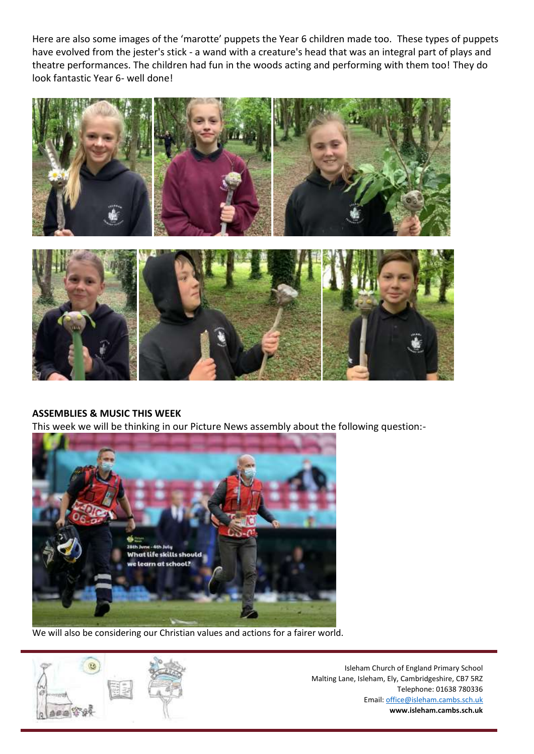Here are also some images of the 'marotte' puppets the Year 6 children made too. These types of puppets have evolved from the jester's stick - a wand with a creature's head that was an integral part of plays and theatre performances. The children had fun in the woods acting and performing with them too! They do look fantastic Year 6- well done!





# **ASSEMBLIES & MUSIC THIS WEEK**

This week we will be thinking in our Picture News assembly about the following question:-



We will also be considering our Christian values and actions for a fairer world.